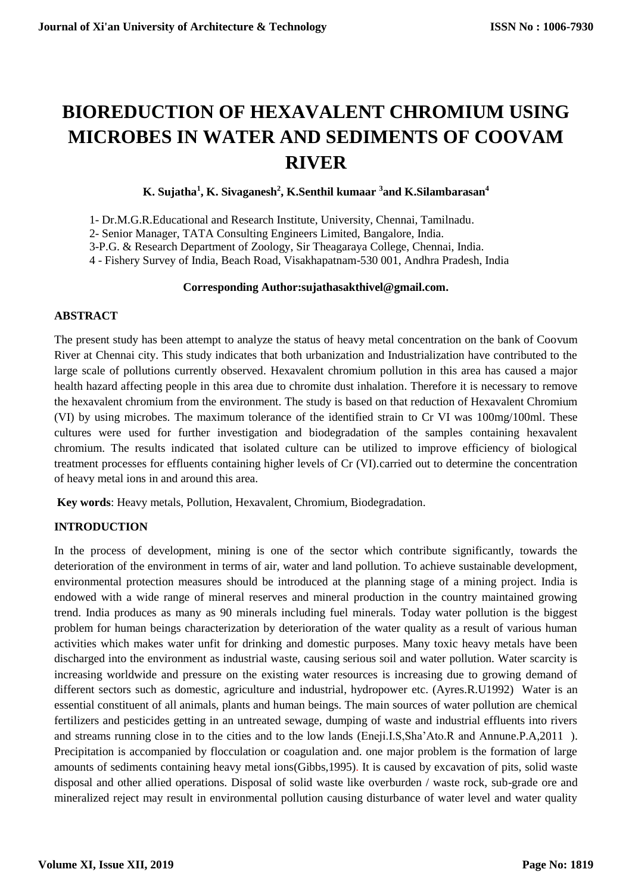# **BIOREDUCTION OF HEXAVALENT CHROMIUM USING MICROBES IN WATER AND SEDIMENTS OF COOVAM RIVER**

# **K. Sujatha<sup>1</sup> , K. Sivaganesh<sup>2</sup> , K.Senthil kumaar <sup>3</sup>and K.Silambarasan<sup>4</sup>**

1- Dr.M.G.R.Educational and Research Institute, University, Chennai, Tamilnadu.

2- Senior Manager, TATA Consulting Engineers Limited, Bangalore, India.

3-P.G. & Research Department of Zoology, Sir Theagaraya College, Chennai, India.

4 - Fishery Survey of India, Beach Road, Visakhapatnam-530 001, Andhra Pradesh, India

#### **Corresponding Author:sujathasakthivel@gmail.com.**

#### **ABSTRACT**

The present study has been attempt to analyze the status of heavy metal concentration on the bank of Coovum River at Chennai city. This study indicates that both urbanization and Industrialization have contributed to the large scale of pollutions currently observed. Hexavalent chromium pollution in this area has caused a major health hazard affecting people in this area due to chromite dust inhalation. Therefore it is necessary to remove the hexavalent chromium from the environment. The study is based on that reduction of Hexavalent Chromium (VI) by using microbes. The maximum tolerance of the identified strain to Cr VI was 100mg/100ml. These cultures were used for further investigation and biodegradation of the samples containing hexavalent chromium. The results indicated that isolated culture can be utilized to improve efficiency of biological treatment processes for effluents containing higher levels of Cr (VI).carried out to determine the concentration of heavy metal ions in and around this area.

**Key words**: Heavy metals, Pollution, Hexavalent, Chromium, Biodegradation.

# **INTRODUCTION**

In the process of development, mining is one of the sector which contribute significantly, towards the deterioration of the environment in terms of air, water and land pollution. To achieve sustainable development, environmental protection measures should be introduced at the planning stage of a mining project. India is endowed with a wide range of mineral reserves and mineral production in the country maintained growing trend. India produces as many as 90 minerals including fuel minerals. Today water pollution is the biggest problem for human beings characterization by deterioration of the water quality as a result of various human activities which makes water unfit for drinking and domestic purposes. Many toxic heavy metals have been discharged into the environment as industrial waste, causing serious soil and water pollution. Water scarcity is increasing worldwide and pressure on the existing water resources is increasing due to growing demand of different sectors such as domestic, agriculture and industrial, hydropower etc. (Ayres.R.U1992) Water is an essential constituent of all animals, plants and human beings. The main sources of water pollution are chemical fertilizers and pesticides getting in an untreated sewage, dumping of waste and industrial effluents into rivers and streams running close in to the cities and to the low lands (Eneji.I.S,Sha'Ato.R and Annune.P.A,2011 ). Precipitation is accompanied by flocculation or coagulation and. one major problem is the formation of large amounts of sediments containing heavy metal ions(Gibbs,1995). It is caused by excavation of pits, solid waste disposal and other allied operations. Disposal of solid waste like overburden / waste rock, sub-grade ore and mineralized reject may result in environmental pollution causing disturbance of water level and water quality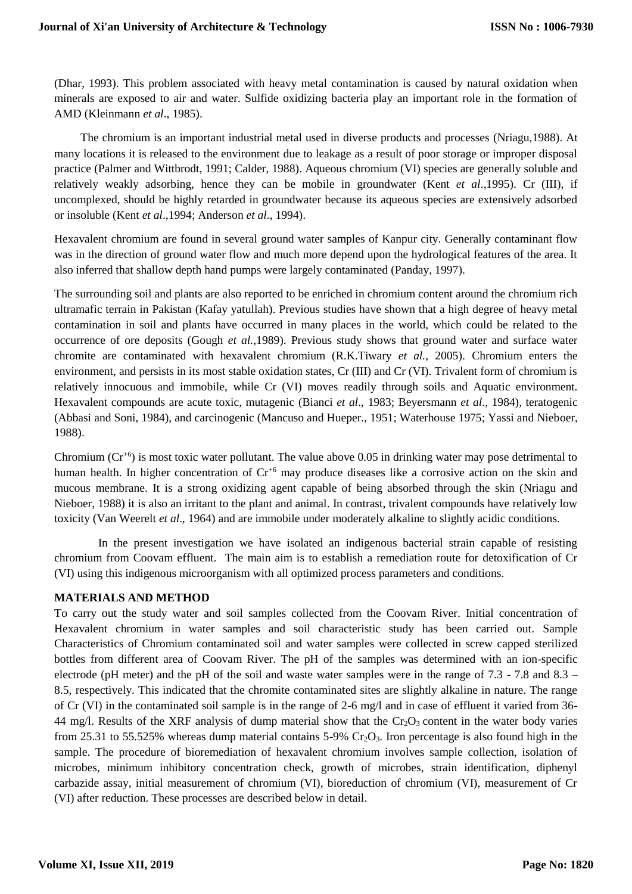(Dhar, 1993). This problem associated with heavy metal contamination is caused by natural oxidation when minerals are exposed to air and water. Sulfide oxidizing bacteria play an important role in the formation of AMD (Kleinmann *et al*., 1985).

 The chromium is an important industrial metal used in diverse products and processes (Nriagu,1988). At many locations it is released to the environment due to leakage as a result of poor storage or improper disposal practice (Palmer and Wittbrodt, 1991; Calder, 1988). Aqueous chromium (VI) species are generally soluble and relatively weakly adsorbing, hence they can be mobile in groundwater (Kent *et al*.,1995). Cr (III), if uncomplexed, should be highly retarded in groundwater because its aqueous species are extensively adsorbed or insoluble (Kent *et al*.,1994; Anderson *et al*., 1994).

Hexavalent chromium are found in several ground water samples of Kanpur city. Generally contaminant flow was in the direction of ground water flow and much more depend upon the hydrological features of the area. It also inferred that shallow depth hand pumps were largely contaminated (Panday, 1997).

The surrounding soil and plants are also reported to be enriched in chromium content around the chromium rich ultramafic terrain in Pakistan (Kafay yatullah). Previous studies have shown that a high degree of heavy metal contamination in soil and plants have occurred in many places in the world, which could be related to the occurrence of ore deposits (Gough *et al.*,1989). Previous study shows that ground water and surface water chromite are contaminated with hexavalent chromium (R.K.Tiwary *et al.*, 2005). Chromium enters the environment, and persists in its most stable oxidation states, Cr (III) and Cr (VI). Trivalent form of chromium is relatively innocuous and immobile, while Cr (VI) moves readily through soils and Aquatic environment. Hexavalent compounds are acute toxic, mutagenic (Bianci *et al*., 1983; Beyersmann *et al*., 1984), teratogenic (Abbasi and Soni, 1984), and carcinogenic (Mancuso and Hueper., 1951; Waterhouse 1975; Yassi and Nieboer, 1988).

Chromium  $(Cr^{6})$  is most toxic water pollutant. The value above 0.05 in drinking water may pose detrimental to human health. In higher concentration of  $Cr^{+6}$  may produce diseases like a corrosive action on the skin and mucous membrane. It is a strong oxidizing agent capable of being absorbed through the skin (Nriagu and Nieboer, 1988) it is also an irritant to the plant and animal. In contrast, trivalent compounds have relatively low toxicity (Van Weerelt *et al*., 1964) and are immobile under moderately alkaline to slightly acidic conditions.

 In the present investigation we have isolated an indigenous bacterial strain capable of resisting chromium from Coovam effluent. The main aim is to establish a remediation route for detoxification of Cr (VI) using this indigenous microorganism with all optimized process parameters and conditions.

# **MATERIALS AND METHOD**

To carry out the study water and soil samples collected from the Coovam River. Initial concentration of Hexavalent chromium in water samples and soil characteristic study has been carried out. Sample Characteristics of Chromium contaminated soil and water samples were collected in screw capped sterilized bottles from different area of Coovam River. The pH of the samples was determined with an ion-specific electrode (pH meter) and the pH of the soil and waste water samples were in the range of 7.3 - 7.8 and 8.3 – 8.5, respectively. This indicated that the chromite contaminated sites are slightly alkaline in nature. The range of Cr (VI) in the contaminated soil sample is in the range of 2-6 mg/l and in case of effluent it varied from 36- 44 mg/l. Results of the XRF analysis of dump material show that the  $Cr_2O_3$  content in the water body varies from 25.31 to 55.525% whereas dump material contains  $5-9\%$  Cr<sub>2</sub>O<sub>3</sub>. Iron percentage is also found high in the sample. The procedure of bioremediation of hexavalent chromium involves sample collection, isolation of microbes, minimum inhibitory concentration check, growth of microbes, strain identification, diphenyl carbazide assay, initial measurement of chromium (VI), bioreduction of chromium (VI), measurement of Cr (VI) after reduction. These processes are described below in detail.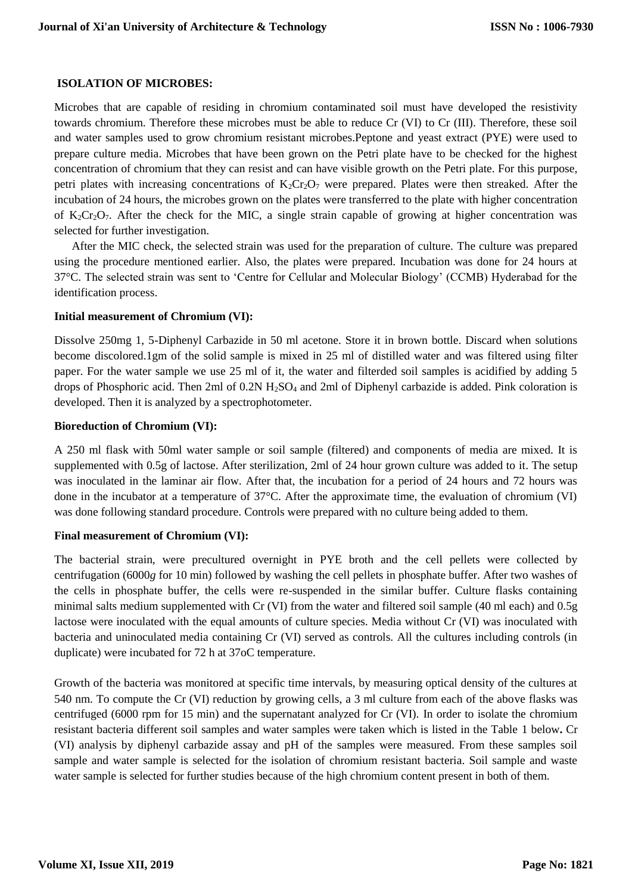#### **ISOLATION OF MICROBES:**

Microbes that are capable of residing in chromium contaminated soil must have developed the resistivity towards chromium. Therefore these microbes must be able to reduce Cr (VI) to Cr (III). Therefore, these soil and water samples used to grow chromium resistant microbes.Peptone and yeast extract (PYE) were used to prepare culture media. Microbes that have been grown on the Petri plate have to be checked for the highest concentration of chromium that they can resist and can have visible growth on the Petri plate. For this purpose, petri plates with increasing concentrations of  $K_2Cr_2O_7$  were prepared. Plates were then streaked. After the incubation of 24 hours, the microbes grown on the plates were transferred to the plate with higher concentration of  $K_2Cr_2O_7$ . After the check for the MIC, a single strain capable of growing at higher concentration was selected for further investigation.

 After the MIC check, the selected strain was used for the preparation of culture. The culture was prepared using the procedure mentioned earlier. Also, the plates were prepared. Incubation was done for 24 hours at 37°C. The selected strain was sent to 'Centre for Cellular and Molecular Biology' (CCMB) Hyderabad for the identification process.

#### **Initial measurement of Chromium (VI):**

Dissolve 250mg 1, 5-Diphenyl Carbazide in 50 ml acetone. Store it in brown bottle. Discard when solutions become discolored.1gm of the solid sample is mixed in 25 ml of distilled water and was filtered using filter paper. For the water sample we use 25 ml of it, the water and filterded soil samples is acidified by adding 5 drops of Phosphoric acid. Then 2ml of  $0.2N H_2SO_4$  and 2ml of Diphenyl carbazide is added. Pink coloration is developed. Then it is analyzed by a spectrophotometer.

#### **Bioreduction of Chromium (VI):**

A 250 ml flask with 50ml water sample or soil sample (filtered) and components of media are mixed. It is supplemented with 0.5g of lactose. After sterilization, 2ml of 24 hour grown culture was added to it. The setup was inoculated in the laminar air flow. After that, the incubation for a period of 24 hours and 72 hours was done in the incubator at a temperature of 37°C. After the approximate time, the evaluation of chromium (VI) was done following standard procedure. Controls were prepared with no culture being added to them.

# **Final measurement of Chromium (VI):**

The bacterial strain, were precultured overnight in PYE broth and the cell pellets were collected by centrifugation (6000*g* for 10 min) followed by washing the cell pellets in phosphate buffer. After two washes of the cells in phosphate buffer, the cells were re-suspended in the similar buffer. Culture flasks containing minimal salts medium supplemented with Cr (VI) from the water and filtered soil sample (40 ml each) and 0.5g lactose were inoculated with the equal amounts of culture species. Media without Cr (VI) was inoculated with bacteria and uninoculated media containing Cr (VI) served as controls. All the cultures including controls (in duplicate) were incubated for 72 h at 37oC temperature.

Growth of the bacteria was monitored at specific time intervals, by measuring optical density of the cultures at 540 nm. To compute the Cr (VI) reduction by growing cells, a 3 ml culture from each of the above flasks was centrifuged (6000 rpm for 15 min) and the supernatant analyzed for Cr (VI). In order to isolate the chromium resistant bacteria different soil samples and water samples were taken which is listed in the Table 1 below**.** Cr (VI) analysis by diphenyl carbazide assay and pH of the samples were measured. From these samples soil sample and water sample is selected for the isolation of chromium resistant bacteria. Soil sample and waste water sample is selected for further studies because of the high chromium content present in both of them.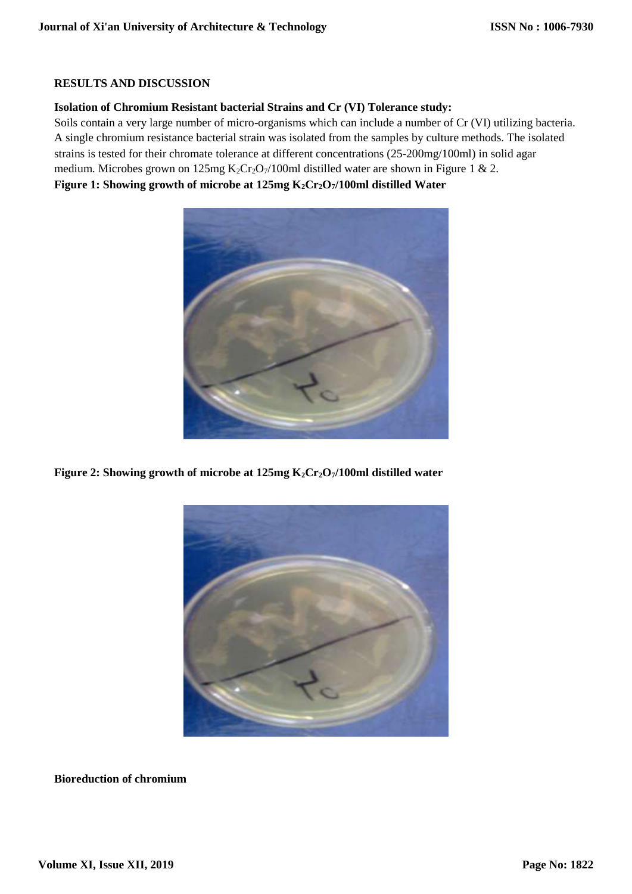# **RESULTS AND DISCUSSION**

# **Isolation of Chromium Resistant bacterial Strains and Cr (VI) Tolerance study:**

Soils contain a very large number of micro-organisms which can include a number of Cr (VI) utilizing bacteria. A single chromium resistance bacterial strain was isolated from the samples by culture methods. The isolated strains is tested for their chromate tolerance at different concentrations (25-200mg/100ml) in solid agar medium. Microbes grown on 125mg  $K_2Cr_2O_7/100$ ml distilled water are shown in Figure 1 & 2. **Figure 1: Showing growth of microbe at 125mg K2Cr2O7/100ml distilled Water**



**Figure 2: Showing growth of microbe at 125mg K2Cr2O7/100ml distilled water**



**Bioreduction of chromium**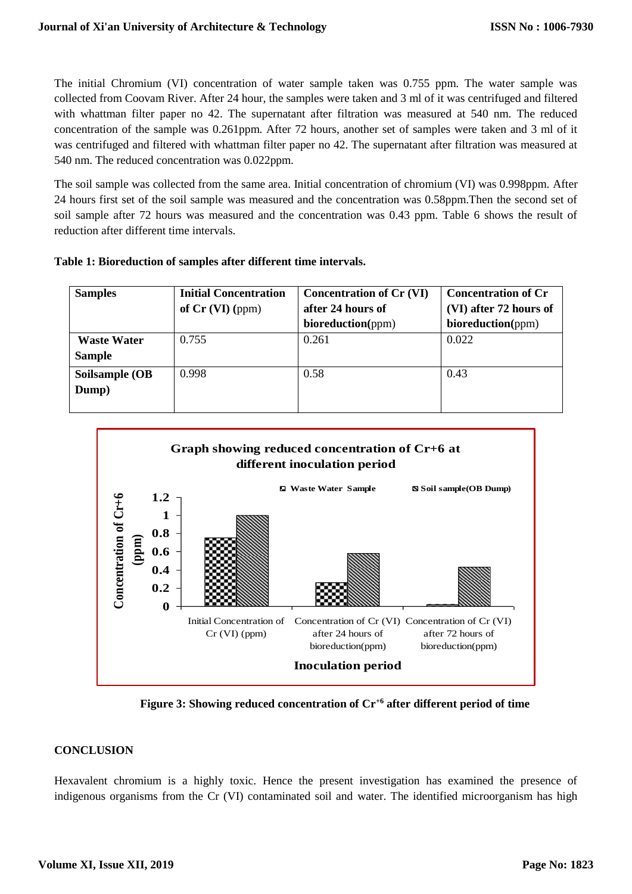The initial Chromium (VI) concentration of water sample taken was 0.755 ppm. The water sample was collected from Coovam River. After 24 hour, the samples were taken and 3 ml of it was centrifuged and filtered with whattman filter paper no 42. The supernatant after filtration was measured at 540 nm. The reduced concentration of the sample was 0.261ppm. After 72 hours, another set of samples were taken and 3 ml of it was centrifuged and filtered with whattman filter paper no 42. The supernatant after filtration was measured at 540 nm. The reduced concentration was 0.022ppm.

The soil sample was collected from the same area. Initial concentration of chromium (VI) was 0.998ppm. After 24 hours first set of the soil sample was measured and the concentration was 0.58ppm.Then the second set of soil sample after 72 hours was measured and the concentration was 0.43 ppm. Table 6 shows the result of reduction after different time intervals.

| <b>Samples</b>                      | <b>Initial Concentration</b><br>of $Cr$ (VI) (ppm) | <b>Concentration of Cr (VI)</b><br>after 24 hours of<br>bioreduction(ppm) | <b>Concentration of Cr</b><br>(VI) after 72 hours of<br>bioreduction(ppm) |
|-------------------------------------|----------------------------------------------------|---------------------------------------------------------------------------|---------------------------------------------------------------------------|
| <b>Waste Water</b><br><b>Sample</b> | 0.755                                              | 0.261                                                                     | 0.022                                                                     |
| Soilsample (OB<br>Dump)             | 0.998                                              | 0.58                                                                      | 0.43                                                                      |



**Figure 3: Showing reduced concentration of Cr+6 after different period of time**

# **CONCLUSION**

Hexavalent chromium is a highly toxic. Hence the present investigation has examined the presence of indigenous organisms from the Cr (VI) contaminated soil and water. The identified microorganism has high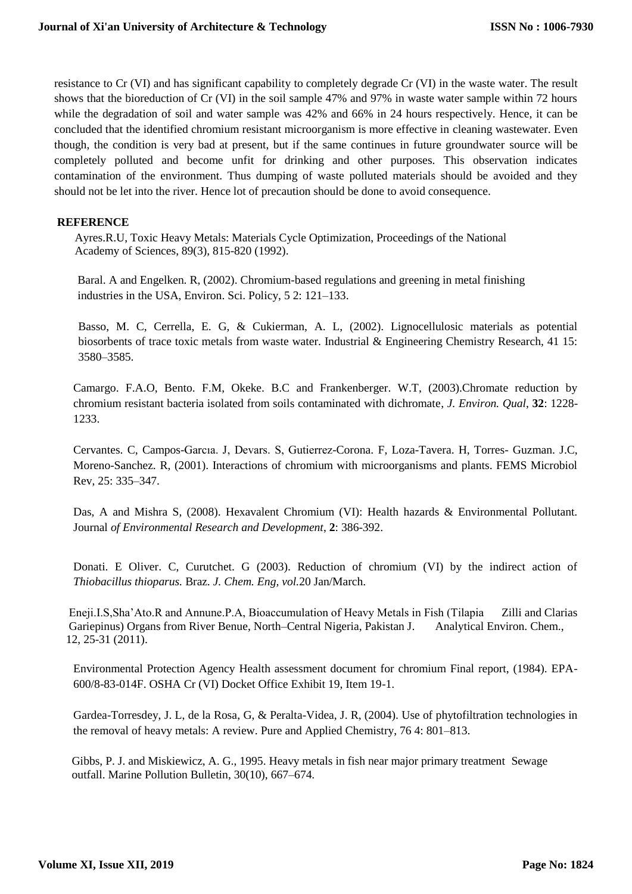resistance to Cr (VI) and has significant capability to completely degrade Cr (VI) in the waste water. The result shows that the bioreduction of Cr (VI) in the soil sample 47% and 97% in waste water sample within 72 hours while the degradation of soil and water sample was 42% and 66% in 24 hours respectively. Hence, it can be concluded that the identified chromium resistant microorganism is more effective in cleaning wastewater. Even though, the condition is very bad at present, but if the same continues in future groundwater source will be completely polluted and become unfit for drinking and other purposes. This observation indicates contamination of the environment. Thus dumping of waste polluted materials should be avoided and they should not be let into the river. Hence lot of precaution should be done to avoid consequence.

# **REFERENCE**

 Ayres.R.U, Toxic Heavy Metals: Materials Cycle Optimization, Proceedings of the National Academy of Sciences, 89(3), 815-820 (1992).

 Baral. A and Engelken. R, (2002). Chromium-based regulations and greening in metal finishing industries in the USA, Environ. Sci. Policy, 5 2: 121–133.

Basso, M. C, Cerrella, E. G, & Cukierman, A. L, (2002). Lignocellulosic materials as potential biosorbents of trace toxic metals from waste water. Industrial & Engineering Chemistry Research, 41 15: 3580–3585.

Camargo. F.A.O, Bento. F.M, Okeke. B.C and Frankenberger. W.T, (2003).Chromate reduction by chromium resistant bacteria isolated from soils contaminated with dichromate, *J. Environ. Qual*, **32**: 1228- 1233.

Cervantes. C, Campos-Garcıa. J, Devars. S, Gutierrez-Corona. F, Loza-Tavera. H, Torres- Guzman. J.C, Moreno-Sanchez. R, (2001). Interactions of chromium with microorganisms and plants. FEMS Microbiol Rev, 25: 335–347.

Das, A and Mishra S, (2008). Hexavalent Chromium (VI): Health hazards & Environmental Pollutant. Journal *of Environmental Research and Development*, **2**: 386-392.

Donati. E Oliver. C, Curutchet. G (2003). Reduction of chromium (VI) by the indirect action of *Thiobacillus thioparus.* Braz. *J. Chem. Eng, vol.*20 Jan/March.

 Eneji.I.S,Sha'Ato.R and Annune.P.A, Bioaccumulation of Heavy Metals in Fish (Tilapia Zilli and Clarias Gariepinus) Organs from River Benue, North–Central Nigeria, Pakistan J. Analytical Environ. Chem., 12, 25-31 (2011).

Environmental Protection Agency Health assessment document for chromium Final report, (1984). EPA-600/8-83-014F. OSHA Cr (VI) Docket Office Exhibit 19, Item 19-1.

Gardea-Torresdey, J. L, de la Rosa, G, & Peralta-Videa, J. R, (2004). Use of phytofiltration technologies in the removal of heavy metals: A review. Pure and Applied Chemistry, 76 4: 801–813.

 Gibbs, P. J. and Miskiewicz, A. G., 1995. Heavy metals in fish near major primary treatment Sewage outfall. Marine Pollution Bulletin, 30(10), 667–674.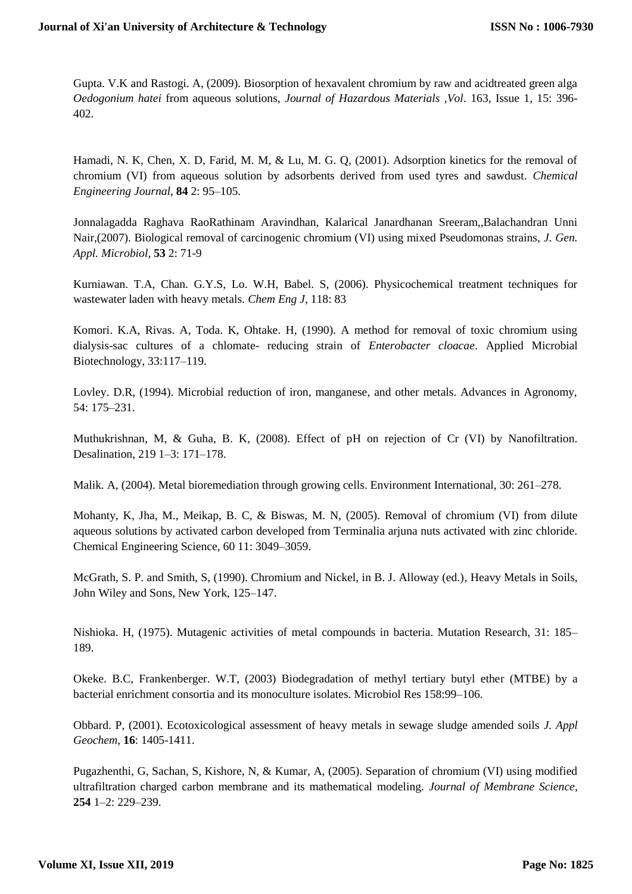Gupta. V.K and Rastogi. A, (2009). Biosorption of hexavalent chromium by raw and acidtreated green alga *Oedogonium hatei* from aqueous solutions, *Journal of Hazardous Materials ,Vol*. 163, Issue 1, 15: 396- 402.

Hamadi, N. K, Chen, X. D, Farid, M. M, & Lu, M. G. Q, (2001). Adsorption kinetics for the removal of chromium (VI) from aqueous solution by adsorbents derived from used tyres and sawdust. *Chemical Engineering Journal*, **84** 2: 95–105.

Jonnalagadda Raghava RaoRathinam Aravindhan, Kalarical Janardhanan Sreeram,,Balachandran Unni Nair,(2007). Biological removal of carcinogenic chromium (VI) using mixed Pseudomonas strains, *J. Gen. Appl. Microbiol,* **53** 2: 71-9

Kurniawan. T.A, Chan. G.Y.S, Lo. W.H, Babel. S, (2006). Physicochemical treatment techniques for wastewater laden with heavy metals. *Chem Eng J*, 118: 83

Komori. K.A, Rivas. A, Toda. K, Ohtake. H, (1990). A method for removal of toxic chromium using dialysis-sac cultures of a chlomate- reducing strain of *Enterobacter cloacae*. Applied Microbial Biotechnology, 33:117–119.

Lovley. D.R, (1994). Microbial reduction of iron, manganese, and other metals. Advances in Agronomy, 54: 175–231.

Muthukrishnan, M, & Guha, B. K, (2008). Effect of pH on rejection of Cr (VI) by Nanofiltration. Desalination, 219 1–3: 171–178.

Malik. A, (2004). Metal bioremediation through growing cells. Environment International, 30: 261–278.

Mohanty, K, Jha, M., Meikap, B. C, & Biswas, M. N, (2005). Removal of chromium (VI) from dilute aqueous solutions by activated carbon developed from Terminalia arjuna nuts activated with zinc chloride. Chemical Engineering Science, 60 11: 3049–3059.

McGrath, S. P. and Smith, S, (1990). Chromium and Nickel, in B. J. Alloway (ed.), Heavy Metals in Soils, John Wiley and Sons, New York, 125–147.

Nishioka. H, (1975). Mutagenic activities of metal compounds in bacteria. Mutation Research, 31: 185– 189.

Okeke. B.C, Frankenberger. W.T, (2003) Biodegradation of methyl tertiary butyl ether (MTBE) by a bacterial enrichment consortia and its monoculture isolates. Microbiol Res 158:99–106.

Obbard. P, (2001). Ecotoxicological assessment of heavy metals in sewage sludge amended soils *J. Appl Geochem*, **16**: 1405-1411.

Pugazhenthi, G, Sachan, S, Kishore, N, & Kumar, A, (2005). Separation of chromium (VI) using modified ultrafiltration charged carbon membrane and its mathematical modeling. *Journal of Membrane Science*, **254** 1–2: 229–239.